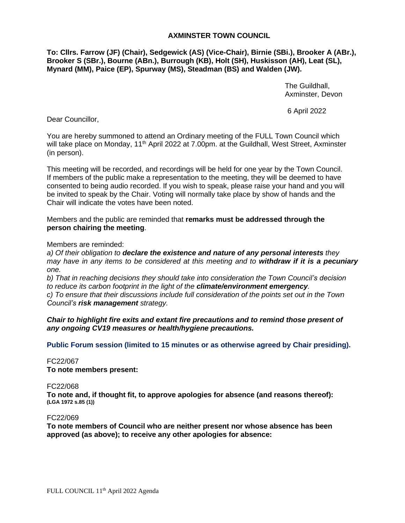# **AXMINSTER TOWN COUNCIL**

**To: Cllrs. Farrow (JF) (Chair), Sedgewick (AS) (Vice-Chair), Birnie (SBi.), Brooker A (ABr.), Brooker S (SBr.), Bourne (ABn.), Burrough (KB), Holt (SH), Huskisson (AH), Leat (SL), Mynard (MM), Paice (EP), Spurway (MS), Steadman (BS) and Walden (JW).**

> The Guildhall, Axminster, Devon

6 April 2022

Dear Councillor,

You are hereby summoned to attend an Ordinary meeting of the FULL Town Council which will take place on Monday, 11<sup>th</sup> April 2022 at 7.00pm. at the Guildhall, West Street, Axminster (in person).

This meeting will be recorded, and recordings will be held for one year by the Town Council. If members of the public make a representation to the meeting, they will be deemed to have consented to being audio recorded. If you wish to speak, please raise your hand and you will be invited to speak by the Chair. Voting will normally take place by show of hands and the Chair will indicate the votes have been noted.

Members and the public are reminded that **remarks must be addressed through the person chairing the meeting**.

Members are reminded:

*a) Of their obligation to declare the existence and nature of any personal interests they may have in any items to be considered at this meeting and to withdraw if it is a pecuniary one.* 

*b) That in reaching decisions they should take into consideration the Town Council's decision to reduce its carbon footprint in the light of the climate/environment emergency. c) To ensure that their discussions include full consideration of the points set out in the Town* 

*Council's risk management strategy.*

*Chair to highlight fire exits and extant fire precautions and to remind those present of any ongoing CV19 measures or health/hygiene precautions.*

**Public Forum session (limited to 15 minutes or as otherwise agreed by Chair presiding).**

FC22/067

**To note members present:**

FC22/068

**To note and, if thought fit, to approve apologies for absence (and reasons thereof): (LGA 1972 s.85 (1))**

FC22/069

**To note members of Council who are neither present nor whose absence has been approved (as above); to receive any other apologies for absence:**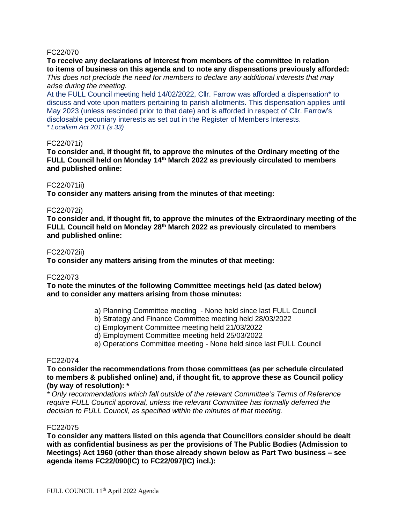# FC22/070

**To receive any declarations of interest from members of the committee in relation to items of business on this agenda and to note any dispensations previously afforded:** *This does not preclude the need for members to declare any additional interests that may* 

# *arise during the meeting.*

At the FULL Council meeting held 14/02/2022, Cllr. Farrow was afforded a dispensation\* to discuss and vote upon matters pertaining to parish allotments. This dispensation applies until May 2023 (unless rescinded prior to that date) and is afforded in respect of Cllr. Farrow's disclosable pecuniary interests as set out in the Register of Members Interests. *\* Localism Act 2011 (s.33)*

### FC22/071i)

**To consider and, if thought fit, to approve the minutes of the Ordinary meeting of the FULL Council held on Monday 14 th March 2022 as previously circulated to members and published online:**

# FC22/071ii)

**To consider any matters arising from the minutes of that meeting:**

# FC22/072i)

**To consider and, if thought fit, to approve the minutes of the Extraordinary meeting of the FULL Council held on Monday 28th March 2022 as previously circulated to members and published online:**

### FC22/072ii)

**To consider any matters arising from the minutes of that meeting:**

### FC22/073

**To note the minutes of the following Committee meetings held (as dated below) and to consider any matters arising from those minutes:**

- a) Planning Committee meeting None held since last FULL Council
- b) Strategy and Finance Committee meeting held 28/03/2022
- c) Employment Committee meeting held 21/03/2022
- d) Employment Committee meeting held 25/03/2022
- e) Operations Committee meeting None held since last FULL Council

### FC22/074

**To consider the recommendations from those committees (as per schedule circulated to members & published online) and, if thought fit, to approve these as Council policy (by way of resolution): \***

*\* Only recommendations which fall outside of the relevant Committee's Terms of Reference require FULL Council approval, unless the relevant Committee has formally deferred the decision to FULL Council, as specified within the minutes of that meeting.*

### FC22/075

**To consider any matters listed on this agenda that Councillors consider should be dealt with as confidential business as per the provisions of The Public Bodies (Admission to Meetings) Act 1960 (other than those already shown below as Part Two business – see agenda items FC22/090(IC) to FC22/097(IC) incl.):**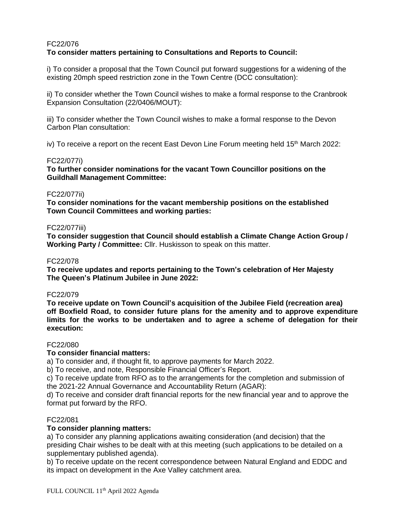# FC22/076 **To consider matters pertaining to Consultations and Reports to Council:**

i) To consider a proposal that the Town Council put forward suggestions for a widening of the existing 20mph speed restriction zone in the Town Centre (DCC consultation):

ii) To consider whether the Town Council wishes to make a formal response to the Cranbrook Expansion Consultation (22/0406/MOUT):

iii) To consider whether the Town Council wishes to make a formal response to the Devon Carbon Plan consultation:

iv) To receive a report on the recent East Devon Line Forum meeting held  $15<sup>th</sup>$  March 2022:

# FC22/077i)

**To further consider nominations for the vacant Town Councillor positions on the Guildhall Management Committee:**

# FC22/077ii)

**To consider nominations for the vacant membership positions on the established Town Council Committees and working parties:**

# FC22/077iii)

**To consider suggestion that Council should establish a Climate Change Action Group / Working Party / Committee:** Cllr. Huskisson to speak on this matter.

# FC22/078

**To receive updates and reports pertaining to the Town's celebration of Her Majesty The Queen's Platinum Jubilee in June 2022:**

### FC22/079

**To receive update on Town Council's acquisition of the Jubilee Field (recreation area) off Boxfield Road, to consider future plans for the amenity and to approve expenditure limits for the works to be undertaken and to agree a scheme of delegation for their execution:**

### FC22/080

# **To consider financial matters:**

a) To consider and, if thought fit, to approve payments for March 2022.

b) To receive, and note, Responsible Financial Officer's Report.

c) To receive update from RFO as to the arrangements for the completion and submission of the 2021-22 Annual Governance and Accountability Return (AGAR):

d) To receive and consider draft financial reports for the new financial year and to approve the format put forward by the RFO.

### FC22/081

# **To consider planning matters:**

a) To consider any planning applications awaiting consideration (and decision) that the presiding Chair wishes to be dealt with at this meeting (such applications to be detailed on a supplementary published agenda).

b) To receive update on the recent correspondence between Natural England and EDDC and its impact on development in the Axe Valley catchment area.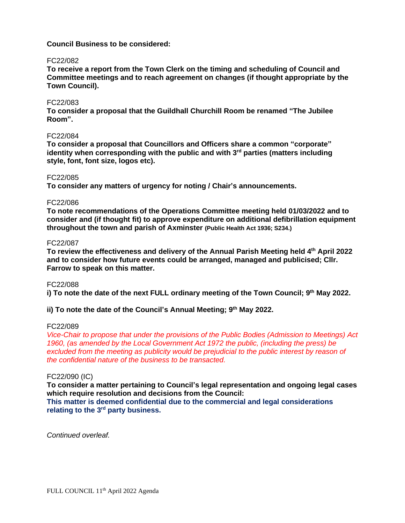# **Council Business to be considered:**

### FC22/082

**To receive a report from the Town Clerk on the timing and scheduling of Council and Committee meetings and to reach agreement on changes (if thought appropriate by the Town Council).**

### FC22/083

**To consider a proposal that the Guildhall Churchill Room be renamed "The Jubilee Room".**

# FC22/084

**To consider a proposal that Councillors and Officers share a common "corporate"** identity when corresponding with the public and with 3<sup>rd</sup> parties (matters including **style, font, font size, logos etc).**

# FC22/085

**To consider any matters of urgency for noting / Chair's announcements.**

# FC22/086

**To note recommendations of the Operations Committee meeting held 01/03/2022 and to consider and (if thought fit) to approve expenditure on additional defibrillation equipment throughout the town and parish of Axminster (Public Health Act 1936; S234.)**

# FC22/087

**To review the effectiveness and delivery of the Annual Parish Meeting held 4th April 2022 and to consider how future events could be arranged, managed and publicised; Cllr. Farrow to speak on this matter.**

# FC22/088

**i) To note the date of the next FULL ordinary meeting of the Town Council; 9 th May 2022.**

# **ii) To note the date of the Council's Annual Meeting; 9 th May 2022.**

### FC22/089

*Vice-Chair to propose that under the provisions of the Public Bodies (Admission to Meetings) Act 1960, (as amended by the Local Government Act 1972 the public, (including the press) be*  excluded from the meeting as publicity would be prejudicial to the public interest by reason of *the confidential nature of the business to be transacted.*

### FC22/090 (IC)

**To consider a matter pertaining to Council's legal representation and ongoing legal cases which require resolution and decisions from the Council:**

**This matter is deemed confidential due to the commercial and legal considerations** relating to the 3<sup>rd</sup> party business.

*Continued overleaf.*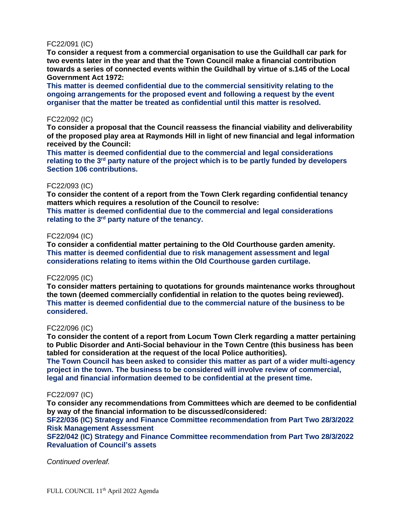# FC22/091 (IC)

**To consider a request from a commercial organisation to use the Guildhall car park for two events later in the year and that the Town Council make a financial contribution towards a series of connected events within the Guildhall by virtue of s.145 of the Local Government Act 1972:**

**This matter is deemed confidential due to the commercial sensitivity relating to the ongoing arrangements for the proposed event and following a request by the event organiser that the matter be treated as confidential until this matter is resolved.**

# FC22/092 (IC)

**To consider a proposal that the Council reassess the financial viability and deliverability of the proposed play area at Raymonds Hill in light of new financial and legal information received by the Council:**

**This matter is deemed confidential due to the commercial and legal considerations** relating to the 3<sup>rd</sup> party nature of the project which is to be partly funded by developers **Section 106 contributions.**

# FC22/093 (IC)

**To consider the content of a report from the Town Clerk regarding confidential tenancy matters which requires a resolution of the Council to resolve:**

**This matter is deemed confidential due to the commercial and legal considerations** relating to the 3<sup>rd</sup> party nature of the tenancy.

# FC22/094 (IC)

**To consider a confidential matter pertaining to the Old Courthouse garden amenity. This matter is deemed confidential due to risk management assessment and legal considerations relating to items within the Old Courthouse garden curtilage.**

### FC22/095 (IC)

**To consider matters pertaining to quotations for grounds maintenance works throughout the town (deemed commercially confidential in relation to the quotes being reviewed). This matter is deemed confidential due to the commercial nature of the business to be considered.**

### FC22/096 (IC)

**To consider the content of a report from Locum Town Clerk regarding a matter pertaining to Public Disorder and Anti-Social behaviour in the Town Centre (this business has been tabled for consideration at the request of the local Police authorities).**

**The Town Council has been asked to consider this matter as part of a wider multi-agency project in the town. The business to be considered will involve review of commercial, legal and financial information deemed to be confidential at the present time.**

# FC22/097 (IC)

**To consider any recommendations from Committees which are deemed to be confidential by way of the financial information to be discussed/considered:**

**SF22/036 (IC) Strategy and Finance Committee recommendation from Part Two 28/3/2022 Risk Management Assessment**

**SF22/042 (IC) Strategy and Finance Committee recommendation from Part Two 28/3/2022 Revaluation of Council's assets**

*Continued overleaf.*